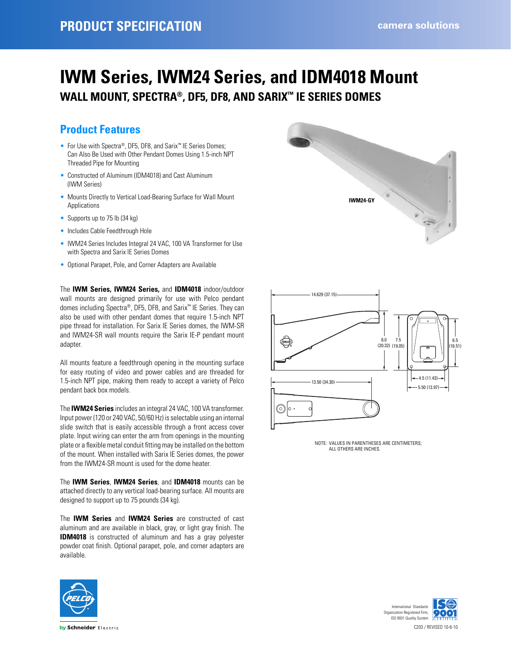# **IWM Series, IWM24 Series, and IDM4018 Mount WALL MOUNT, SPECTRA®, DF5, DF8, AND SARIX™ IE SERIES DOMES**

### **Product Features**

- For Use with Spectra®, DF5, DF8, and Sarix™ IE Series Domes; Can Also Be Used with Other Pendant Domes Using 1.5-inch NPT Threaded Pipe for Mounting
- Constructed of Aluminum (IDM4018) and Cast Aluminum (IWM Series)
- Mounts Directly to Vertical Load-Bearing Surface for Wall Mount Applications
- Supports up to 75 lb (34 kg)
- Includes Cable Feedthrough Hole
- IWM24 Series Includes Integral 24 VAC, 100 VA Transformer for Use with Spectra and Sarix IE Series Domes
- Optional Parapet, Pole, and Corner Adapters are Available

The **IWM Series, IWM24 Series,** and **IDM4018** indoor/outdoor wall mounts are designed primarily for use with Pelco pendant domes including Spectra®, DF5, DF8, and Sarix™ IE Series. They can also be used with other pendant domes that require 1.5-inch NPT pipe thread for installation. For Sarix IE Series domes, the IWM-SR and IWM24-SR wall mounts require the Sarix IE-P pendant mount adapter.

All mounts feature a feedthrough opening in the mounting surface for easy routing of video and power cables and are threaded for 1.5-inch NPT pipe, making them ready to accept a variety of Pelco pendant back box models.

The **IWM24 Series** includes an integral 24 VAC, 100 VA transformer. Input power (120 or 240 VAC, 50/60 Hz) is selectable using an internal slide switch that is easily accessible through a front access cover plate. Input wiring can enter the arm from openings in the mounting plate or a flexible metal conduit fitting may be installed on the bottom of the mount. When installed with Sarix IE Series domes, the power from the IWM24-SR mount is used for the dome heater.

The **IWM Series**, **IWM24 Series**, and **IDM4018** mounts can be attached directly to any vertical load-bearing surface. All mounts are designed to support up to 75 pounds (34 kg).

The **IWM Series** and **IWM24 Series** are constructed of cast aluminum and are available in black, gray, or light gray finish. The **IDM4018** is constructed of aluminum and has a gray polyester powder coat finish. Optional parapet, pole, and corner adapters are available.







NOTE: VALUES IN PARENTHESES ARE CENTIMETERS; ALL OTHERS ARE INCHES.



by Schneider Electric